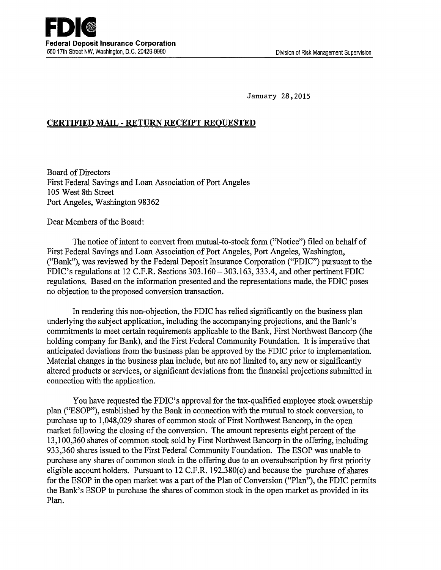January 28,2015

## **CERTIFIED MAIL- RETURN RECEIPT REQUESTED**

Board of Directors First Federal Savings and Loan Association of Port Angeles 105 West 8th Street Port Angeles, Washington 98362

Dear Members of the Board:

The notice of intent to convert from mutual-to-stock form (''Notice") filed on behalf of First Federal Savings and Loan Association of Port Angeles, Port Angeles, Washington, ("Bank"), was reviewed by the Federal Deposit Insurance Corporation ("FDIC") pursuant to the FDIC's regulations at 12 C.P.R. Sections 303.160-303.163, 333.4, and other pertinent FDIC regulations. Based on the information presented and the representations made, the FDIC poses no objection to the proposed conversion transaction.

In rendering this non-objection, the FDIC has relied significantly on the business plan underlying the subject application, including the accompanying projections, and the Bank's commitments to meet certain requirements applicable to the Bank, First Northwest Bancorp (the holding company for Bank), and the First Federal Community Foundation. It is imperative that anticipated deviations from the business plan be approved by the FDIC prior to implementation. Material changes in the business plan include, but are not limited to, any new or significantly altered products or services, or significant deviations from the fmancial projections submitted in connection with the application.

You have requested the FDIC's approval for the tax-qualified employee stock ownership plan ("ESOP"), established by the Bank in connection with the mutual to stock conversion, to purchase up to 1,048,029 shares of common stock of First Northwest Bancorp, in the open market following the closing of the conversion. The amount represents eight percent of the 13,100,360 shares of common stock sold by First Northwest Bancorp in the offering, including 933,360 shares issued to the First Federal Community Foundation. The ESOP was unable to purchase any shares of common stock in the offering due to an oversubscription by first priority eligible account holders. Pursuant to 12 C.F.R. 192.380(c) and because the purchase of shares for the ESOP in the open market was a part of the Plan of Conversion ("Plan"), the FDIC permits the Bank's ESOP to purchase the shares of common stock in the open market as provided in its Plan.